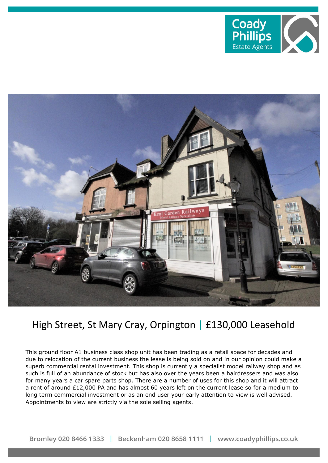



## High Street, St Mary Cray, Orpington | £130,000 Leasehold

This ground floor A1 business class shop unit has been trading as a retail space for decades and due to relocation of the current business the lease is being sold on and in our opinion could make a superb commercial rental investment. This shop is currently a specialist model railway shop and as such is full of an abundance of stock but has also over the years been a hairdressers and was also for many years a car spare parts shop. There are a number of uses for this shop and it will attract a rent of around £12,000 PA and has almost 60 years left on the current lease so for a medium to long term commercial investment or as an end user your early attention to view is well advised. Appointments to view are strictly via the sole selling agents.